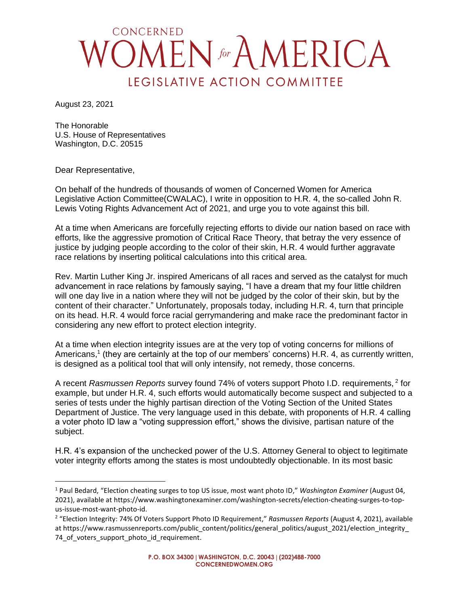## CONCERNED **MEN** for A MERICA LEGISLATIVE ACTION COMMITTEE

August 23, 2021

The Honorable U.S. House of Representatives Washington, D.C. 20515

Dear Representative,

On behalf of the hundreds of thousands of women of Concerned Women for America Legislative Action Committee(CWALAC), I write in opposition to H.R. 4, the so-called John R. Lewis Voting Rights Advancement Act of 2021, and urge you to vote against this bill.

At a time when Americans are forcefully rejecting efforts to divide our nation based on race with efforts, like the aggressive promotion of Critical Race Theory, that betray the very essence of justice by judging people according to the color of their skin, H.R. 4 would further aggravate race relations by inserting political calculations into this critical area.

Rev. Martin Luther King Jr. inspired Americans of all races and served as the catalyst for much advancement in race relations by famously saying, "I have a dream that my four little children will one day live in a nation where they will not be judged by the color of their skin, but by the content of their character." Unfortunately, proposals today, including H.R. 4, turn that principle on its head. H.R. 4 would force racial gerrymandering and make race the predominant factor in considering any new effort to protect election integrity.

At a time when election integrity issues are at the very top of voting concerns for millions of Americans,<sup>1</sup> (they are certainly at the top of our members' concerns) H.R. 4, as currently written, is designed as a political tool that will only intensify, not remedy, those concerns.

A recent *Rasmussen Reports* survey found 74% of voters support Photo I.D. requirements, <sup>2</sup> for example, but under H.R. 4, such efforts would automatically become suspect and subjected to a series of tests under the highly partisan direction of the Voting Section of the United States Department of Justice. The very language used in this debate, with proponents of H.R. 4 calling a voter photo ID law a "voting suppression effort," shows the divisive, partisan nature of the subject.

H.R. 4's expansion of the unchecked power of the U.S. Attorney General to object to legitimate voter integrity efforts among the states is most undoubtedly objectionable. In its most basic

<sup>1</sup> Paul Bedard, "Election cheating surges to top US issue, most want photo ID," *Washington Examiner* (August 04, 2021), available at https://www.washingtonexaminer.com/washington-secrets/election-cheating-surges-to-topus-issue-most-want-photo-id.

<sup>2</sup> "Election Integrity: 74% Of Voters Support Photo ID Requirement," *Rasmussen Reports* (August 4, 2021), available at https://www.rasmussenreports.com/public\_content/politics/general\_politics/august\_2021/election\_integrity 74 of voters support photo id requirement.